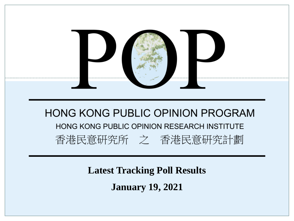

**Latest Tracking Poll Results January 19, 2021**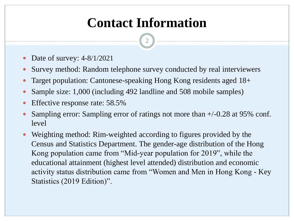# **Contact Information**

2

- Date of survey: 4-8/1/2021
- Survey method: Random telephone survey conducted by real interviewers
- Target population: Cantonese-speaking Hong Kong residents aged 18+
- Sample size: 1,000 (including 492 landline and 508 mobile samples)
- Effective response rate: 58.5%
- Sampling error: Sampling error of ratings not more than +/-0.28 at 95% conf. level
- Weighting method: Rim-weighted according to figures provided by the Census and Statistics Department. The gender-age distribution of the Hong Kong population came from "Mid-year population for 2019", while the educational attainment (highest level attended) distribution and economic activity status distribution came from "Women and Men in Hong Kong - Key Statistics (2019 Edition)".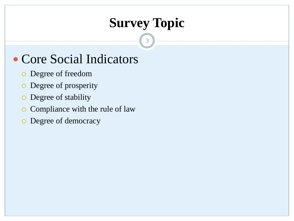# **Survey Topic**

3

## • Core Social Indicators

- Degree of freedom
- Degree of prosperity
- Degree of stability
- o Compliance with the rule of law
- o Degree of democracy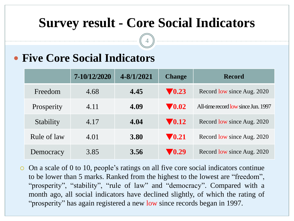## **Survey result - Core Social Indicators**

4

#### **Five Core Social Indicators**

|             | 7-10/12/2020 | 4-8/1/2021  | <b>Change</b>             | <b>Record</b>                       |
|-------------|--------------|-------------|---------------------------|-------------------------------------|
| Freedom     | 4.68         | 4.45        | $\blacktriangledown$ 0.23 | Record low since Aug. 2020          |
| Prosperity  | 4.11         | 4.09        | $\blacktriangledown 0.02$ | All-time record low since Jun. 1997 |
| Stability   | 4.17         | 4.04        | $\blacktriangledown$ 0.12 | Record low since Aug. 2020          |
| Rule of law | 4.01         | <b>3.80</b> | $\blacktriangledown$ 0.21 | Record low since Aug. 2020          |
| Democracy   | 3.85         | 3.56        | $\blacktriangledown$ 0.29 | Record low since Aug. 2020          |

 $\circ$  On a scale of 0 to 10, people's ratings on all five core social indicators continue to be lower than 5 marks. Ranked from the highest to the lowest are "freedom", "prosperity", "stability", "rule of law" and "democracy". Compared with a month ago, all social indicators have declined slightly, of which the rating of "prosperity" has again registered a new low since records began in 1997.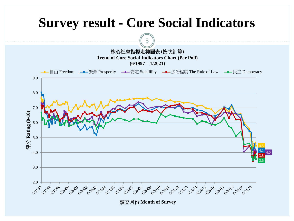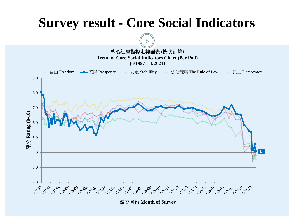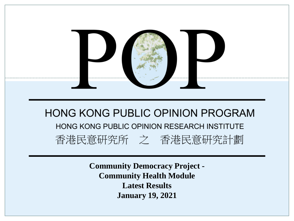

**Community Democracy Project - Community Health Module Latest Results January 19, 2021**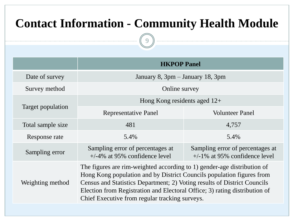### **Contact Information - Community Health Module**

9

|                   | <b>HKPOP Panel</b>                                                                                                                                                                                                                                                                                                                                           |                                                                      |  |  |  |  |  |  |  |
|-------------------|--------------------------------------------------------------------------------------------------------------------------------------------------------------------------------------------------------------------------------------------------------------------------------------------------------------------------------------------------------------|----------------------------------------------------------------------|--|--|--|--|--|--|--|
| Date of survey    | January 8, $3pm$ – January 18, $3pm$                                                                                                                                                                                                                                                                                                                         |                                                                      |  |  |  |  |  |  |  |
| Survey method     | Online survey                                                                                                                                                                                                                                                                                                                                                |                                                                      |  |  |  |  |  |  |  |
|                   | Hong Kong residents aged $12+$                                                                                                                                                                                                                                                                                                                               |                                                                      |  |  |  |  |  |  |  |
| Target population | <b>Representative Panel</b>                                                                                                                                                                                                                                                                                                                                  | <b>Volunteer Panel</b>                                               |  |  |  |  |  |  |  |
| Total sample size | 481                                                                                                                                                                                                                                                                                                                                                          | 4,757                                                                |  |  |  |  |  |  |  |
| Response rate     | 5.4%                                                                                                                                                                                                                                                                                                                                                         | 5.4%                                                                 |  |  |  |  |  |  |  |
| Sampling error    | Sampling error of percentages at<br>$+/-4\%$ at 95% confidence level                                                                                                                                                                                                                                                                                         | Sampling error of percentages at<br>$+/-1\%$ at 95% confidence level |  |  |  |  |  |  |  |
| Weighting method  | The figures are rim-weighted according to 1) gender-age distribution of<br>Hong Kong population and by District Councils population figures from<br>Census and Statistics Department; 2) Voting results of District Councils<br>Election from Registration and Electoral Office; 3) rating distribution of<br>Chief Executive from regular tracking surveys. |                                                                      |  |  |  |  |  |  |  |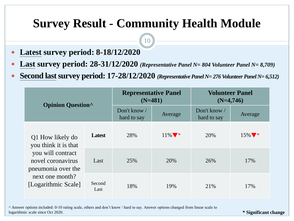#### **Survey Result - Community Health Module**

10

- **Latest survey period: 8-18/12/2020**
- **Last survey period: 28-31/12/2020** *(Representative Panel N= 804 Volunteer Panel N= 8,709)*
- **Second last survey period: 17-28/12/2020** (Representative Panel N= 276 Volunteer Panel N= 6,512)

| <b>Opinion Question</b>                                                                                                                            |                | <b>Representative Panel</b><br>$(N=481)$ |                              | <b>Volunteer Panel</b><br>$(N=4,746)$ |          |  |  |
|----------------------------------------------------------------------------------------------------------------------------------------------------|----------------|------------------------------------------|------------------------------|---------------------------------------|----------|--|--|
|                                                                                                                                                    |                | Don't know /<br>hard to say              | Average                      | Don't know /<br>hard to say           | Average  |  |  |
| Q1 How likely do<br>you think it is that<br>you will contract<br>novel coronavirus<br>pneumonia over the<br>next one month?<br>[Logarithmic Scale] | <b>Latest</b>  | 28%                                      | $11\%$ $\blacktriangleright$ | 20%                                   | $15\%$ * |  |  |
|                                                                                                                                                    | Last           | 25%                                      | 20%                          | 26%                                   | 17%      |  |  |
|                                                                                                                                                    | Second<br>Last | 18%                                      | 19%                          | 21%                                   | 17%      |  |  |

^ Answer options included: 0-10 rating scale, others and don't know / hard to say. Answer options changed from linear scale to logarithmic scale since Oct 2020.

**\* Significant change**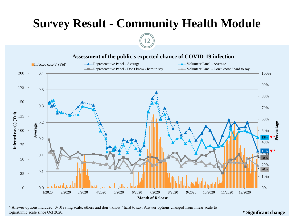

^ Answer options included: 0-10 rating scale, others and don't know / hard to say. Answer options changed from linear scale to logarithmic scale since Oct 2020.

**\* Significant change**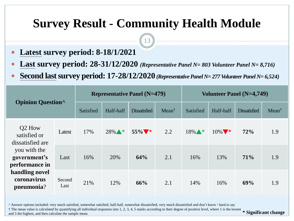#### **Survey Result - Community Health Module**

13

- **Latest survey period: 8-18/1/2021**
- **Last survey period: 28-31/12/2020** *(Representative Panel N= 803 Volunteer Panel N= 8,716)*
- Second last survey period:  $17-28/12/2020$  (Representative Panel N= 277 Volunteer Panel N= 6,524)

| <b>Opinion Question</b>                                                                                                                                 |                |           |           | <b>Representative Panel (N=479)</b> |                  | Volunteer Panel (N=4,749) |                               |                     |                  |  |  |
|---------------------------------------------------------------------------------------------------------------------------------------------------------|----------------|-----------|-----------|-------------------------------------|------------------|---------------------------|-------------------------------|---------------------|------------------|--|--|
|                                                                                                                                                         |                | Satisfied | Half-half | <b>Dissatisfied</b>                 | $Mean^{\dagger}$ | Satisfied                 | Half-half                     | <b>Dissatisfied</b> | $Mean^{\dagger}$ |  |  |
| Q <sub>2</sub> How<br>satisfied or<br>dissatisfied are<br>you with the<br>government's<br>performance in<br>handling novel<br>coronavirus<br>pneumonia? | Latest         | 17%       | $28\%$ *  | $55\%$ $\blacktriangledown$ *       | 2.2              | $18\%$ *                  | $10\%$ $\blacktriangledown$ * | 72%                 | 1.9              |  |  |
|                                                                                                                                                         | Last           | 16%       | 20%       | 64%                                 | 2.1              | 16%                       | 13%                           | 71%                 | 1.9              |  |  |
|                                                                                                                                                         | Second<br>Last | 21%       | 12%       | 66%                                 | 2.1              | 14%                       | 16%                           | 69%                 | 1.9              |  |  |

^ Answer options included: very much satisfied, somewhat satisfied, half-half, somewhat dissatisfied, very much dissatisfied and don't know / hard to say

 $\dagger$  The mean value is calculated by quantifying all individual responses into 1, 2, 3, 4, 5 marks according to their degree of positive level, where 1 is the lowest  $\ast$  Significant change

and 5 the highest, and then calculate the sample mean.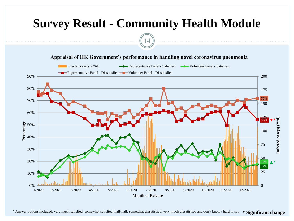

^ Answer options included: very much satisfied, somewhat satisfied, half-half, somewhat dissatisfied, very much dissatisfied and don't know / hard to say **\* Significant change**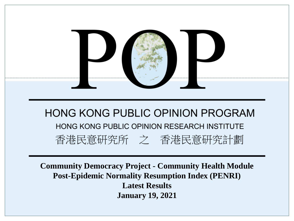

**Community Democracy Project - Community Health Module Post-Epidemic Normality Resumption Index (PENRI) Latest Results January 19, 2021**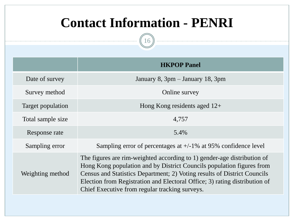# **Contact Information - PENRI**

 $\left(16\right)$ 

|                   | <b>HKPOP Panel</b>                                                                                                                                                                                                                                                                                                                                           |
|-------------------|--------------------------------------------------------------------------------------------------------------------------------------------------------------------------------------------------------------------------------------------------------------------------------------------------------------------------------------------------------------|
| Date of survey    | January 8, 3pm – January 18, 3pm                                                                                                                                                                                                                                                                                                                             |
| Survey method     | Online survey                                                                                                                                                                                                                                                                                                                                                |
| Target population | Hong Kong residents aged $12+$                                                                                                                                                                                                                                                                                                                               |
| Total sample size | 4,757                                                                                                                                                                                                                                                                                                                                                        |
| Response rate     | 5.4%                                                                                                                                                                                                                                                                                                                                                         |
| Sampling error    | Sampling error of percentages at $+/-1\%$ at 95% confidence level                                                                                                                                                                                                                                                                                            |
| Weighting method  | The figures are rim-weighted according to 1) gender-age distribution of<br>Hong Kong population and by District Councils population figures from<br>Census and Statistics Department; 2) Voting results of District Councils<br>Election from Registration and Electoral Office; 3) rating distribution of<br>Chief Executive from regular tracking surveys. |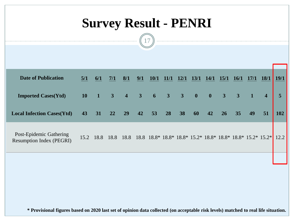# **Survey Result - PENRI**

17

| <b>Date of Publication</b>                                 | 5/1       | 6/1                    | 7/1            | 8/1 | 9/1 | <b>10/1</b>                         | 11/1 | 12/1 | 13/1                    | <b>14/1</b>             | <b>15/1</b>    | <b>16/1</b>    | 17/1 | <b>18/1</b>                                                                   | 19/1 |
|------------------------------------------------------------|-----------|------------------------|----------------|-----|-----|-------------------------------------|------|------|-------------------------|-------------------------|----------------|----------------|------|-------------------------------------------------------------------------------|------|
| <b>Imported Cases(Ytd)</b>                                 | <b>10</b> | $\boldsymbol{\Lambda}$ | 3 <sup>7</sup> |     |     | $4 \quad 3 \quad 6 \quad 3 \quad 3$ |      |      | $\overline{\mathbf{0}}$ | $\overline{\mathbf{0}}$ | 3 <sup>1</sup> | $\overline{3}$ |      | $\overline{\mathbf{4}}$                                                       | 5    |
| <b>Local Infection Cases(Ytd)</b>                          | 43        | 31                     | 22             | 29  | 42  | 53                                  | 28   | 38   | 60                      | 42                      | 26             | 35             | 49   | 51                                                                            | 102  |
| Post-Epidemic Gathering<br><b>Resumption Index (PEGRI)</b> |           | 15.2 18.8              |                |     |     |                                     |      |      |                         |                         |                |                |      | 18.8 18.8 18.8 18.8 * 18.8 * 18.8 * 15.2 * 18.8 * 18.8 * 18.8 * 15.2 * 15.2 * | 12.2 |
|                                                            |           |                        |                |     |     |                                     |      |      |                         |                         |                |                |      |                                                                               |      |

**\* Provisional figures based on 2020 last set of opinion data collected (on acceptable risk levels) matched to real life situation.**